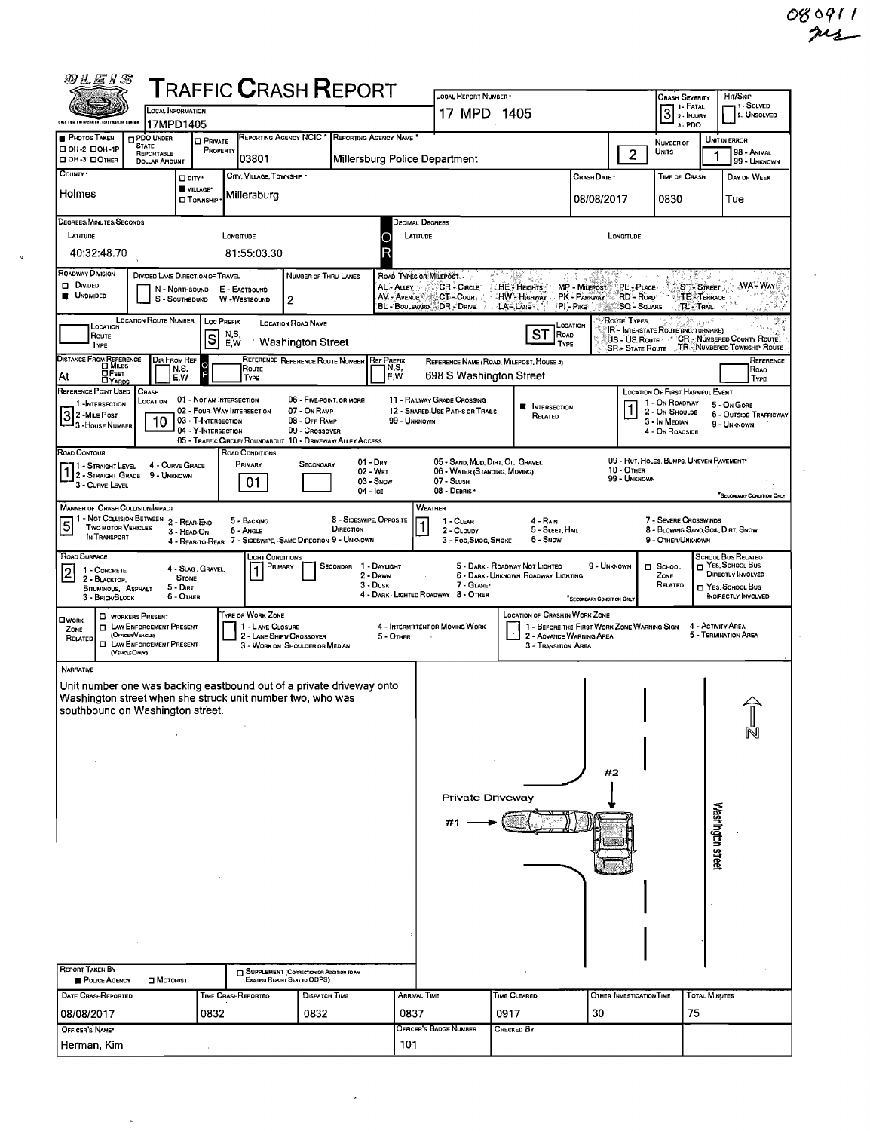HIT/SKIP<br>1 - SOLVED<br>2. UNSOLVED CRASH SEVERITY  $\overline{\mathbf{L}}$ 

| REPORTING AGENCY NCIC * REPORTING AGENCY NAME<br><b>PHOTOS TAKEN</b><br>PDO UNDER<br>UNIT IN ERROR<br><b>D</b> PRIVATE<br>NUMBER OF<br><b>STATE</b><br>OH-2 DOH-1P<br>PROPERTY<br>UNITS<br>$\overline{2}$<br>98 - Animal<br>REPORTABLE<br>1<br>03801<br>Millersburg Police Department<br>OH-3 DOTHER<br><b>DOLLAR AMOUNT</b><br>99 - UNKNOWN<br>COUNTY .<br>CITY, VILLAGE, TOWNSHIP *<br>Сваѕн Date •<br>TIME OF CRASH<br>DAY OF WEEK<br>□ city ·<br>VILLAGE*<br>Holmes<br>Millersburg<br>08/08/2017<br>0830<br>Tue<br><b>CI</b> TownsHIP<br>DEGREES/MINUTES/SECONDS<br><b>DECIMAL DEGREES</b><br>LATITUDE<br>LONGITUDE<br>LATITUDE<br>LONGITUDE<br>C<br>40:32:48.70<br>81:55:03.30<br>ROADWAY DIVISION<br>DIVIDED LANE DIRECTION OF TRAVEL<br>NUMBER OF THRU LANES<br>ROAD TYPES OR MILEPOST.<br>87<br>D Divideo<br>:WA - Way<br>AL - ALLEY<br>CR - Cincus<br>HE - HEIGHTS<br>PL-PLACE<br><b>ST-STREET</b><br>MP - MILEPOST<br>N - NORTHBOUND<br>E - EASTBOUND<br><b>UNDIVIDED</b><br>PK - PARKWAY RD - ROAD<br>AV. AVENUE & CT. Count<br>HW Highway<br><b>TE TERRACE</b><br>W -WESTBOUND<br>S - SOUTHBDUND<br>2<br>BL - Boulevard & DR - Drive.<br>LA-LANE <sup>®</sup><br>PI Pike Aller<br>SQ - SQUARE<br>$TL$ . Trait $\rightarrow$<br>LOCATION ROUTE NUMBER<br>ROUTE TYPES<br>Loc PREFIX<br><b>LOCATION ROAD NAME</b><br>الأعاد شا<br>LOCATION<br>LOCATION<br>IR - INTERSTATE ROUTE (INC. TURNPIKE)<br>ST<br>N,S,<br>Road<br>ROUTE<br> s<br>CR - NÚMBERED COUNTY ROUTE.<br>US - US Route<br>Washington Street<br>E.W<br>TYPE<br>TYPE<br>SR .- STATE ROUTE J. TR NUMBERED TOWNSHIP ROUTE<br>DISTANCE FROM REFERENCE<br>DIR FROM REF<br>REFERENCE REFERENCE ROUTE NUMBER<br><b>REF PREEIX</b><br>Reference<br>REFERENCE NAME (ROAD, MILEPOST, HOUSE #)<br>N.S,<br>Route<br>N,S,<br>Roao<br>F<br><b>DEET</b><br>DYARDS<br>E.W<br>698 S Washington Street<br>At<br>E,W<br>TYPE<br>Type<br>REFERENCE POINT USED<br>CRASH<br>LOCATION OF FIRST HARMFUL EVENT<br>01 - NOT AN INTERSECTION<br>06 - FIVE-POINT, OR MORE<br>11 - RAILWAY GRADE CROSSING<br>Location<br>1 - On ROADWAY<br>1-INTERSECTION<br>5 - On Gone<br><b>NI</b> INTERSECTION<br>07 - On RAMP<br>02 - FOUR-WAY INTERSECTION<br>12 - SHARED-USE PATHS OR TRAILS<br>2 - On Shoulde<br>3 2 - Mile Post<br>3 - House Number<br>6 - OUTSIDE TRAFFICWAY<br>Related<br>10<br>03 - T-INTERSECTION<br>08 - OFF RAMP<br>99 - UNKNOWN<br>3 - In Median<br>9 - UNKNOWN<br>04 - Y-INTERSECTION<br>09 - CROSSOVER<br>4 - On ROAOSIDE<br>05 - TRAFFIC CIRCLE/ ROUNDABOUT 10 - DRIVEWAY/ ALLEY ACCESS<br>ROAD CONTOUR<br>ROAD CONDITIONS<br>09 - RUT, HOLES, BUMPS, UNEVEN PAVEMENT*<br>$01 - \text{Dry}$<br>05 - SAND, MUD, DIRT, OIL, GRAVEL<br>PRIMARY<br>SECONOARY<br>4 - CURVE GRADE<br>11 - Straight Level<br>1 2 - STRAIGHT GRADE 9 - UNKNOWN<br>10 - OTHER<br>02 - WET<br>06 - WATER (STANDING, MOVING)<br>99 - UNKNOWN<br>01<br>03 - Snow<br>07 - SLUSH<br>3 - CURVE LEVEL<br>04 - Ice<br>08 - DEBRIS ·<br>SECONDARY CONDITION ONLY<br><b>MANNER OF CRASH COLLISIDN/MPACT</b><br>WEATHER<br>- NOT COLLISION BETWEEN<br>8 - SIDESWIPE, OPPOSITE<br>7 - SEVERE CROSSWINDS<br>2 - REAR-END<br>5 - BACKING<br>1 - CLEAR<br>4 - Rain<br>$\vert 5 \vert$<br>$\mathbf{1}$<br>TWO MOTOR VEHICLES<br>DIRECTION<br>8 - BLOWING SAND, SOIL, DIRT, SNOW<br>5 - SLEET, HAIL<br>6 - Angle<br>2 - CLOUDY<br>3 - HEAD-ON<br>IN TRANSPORT<br>4 - REAR-TO-REAR 7 - SIDESWIPE, -SAME DIRECTION 9 - UNKNOWN<br>3 - Foc, Smoc, Smoke<br>6 - Snow<br>9 - OTHER/UNKNOWN<br>ROAD SURFACE<br>SCHOOL BUS RELATED<br>LIGHT CONDITIONS<br>T YES, SCHOOL BUS<br>SECONDAR 1 - DAYLIGHT<br>5 - DARK - ROADWAY NOT LIGHTED<br>9 - UNKNOWN<br>$\Box$ SCHOOL<br>Primary<br>4 - SLAG, GRAVEL,<br>1 - CONCRETE<br>$\overline{2}$<br>DIRECTLY INVOLVED<br>2 - DAWN<br>6 - DARK - UNKNOWN ROADWAY LIGHTING<br>Zone<br><b>STONE</b><br>2 - BLACKTOP.<br>$3 - D$ usk<br>7 - GLARE*<br>RELATEO<br>T YES, SCHOOL BUS<br>$5 - D$ IRT<br>BITUMINOUS, ASPHALT<br>4 - DARK - LIGHTED ROADWAY 8 - OTHER<br>INDIRECTLY INVOLVED<br>6 - OTHER<br>3 - BRICK BLOCK<br>"SECONDARY CONDITION ONLY<br>TYPE OF WORK ZONE<br>LOCATION OF CRASH IN WORK ZONE<br><b>D</b> WORKERS PRESENT<br><b>OWORK</b><br><b>T LAW ENFORCEMENT PRESENT</b><br>1 - LANE CLOSURE<br>4 - INTERMITTENT OR MOVING WORK<br>1 - BEFORE THE FIRST WORK ZONE WARNING SIGN<br>4 - Activity Area<br>ZONE<br>(OFFICER/VEHICLE)<br>5 - Termination Area<br>2 - LANE SHIFT/ CROSSOVER<br>2 - AOVANCE WARNING AREA<br>5 - OTHER<br>RELATED<br><b>CI LAW ENFORCEMENT PRESENT</b><br>3 - WORK ON SHOULDER OR MEDIAN<br>3 - Transition Area<br>(VEHICLE ONLY)<br>NARRATIVE<br>Unit number one was backing eastbound out of a private driveway onto<br>Washington street when she struck unit number two, who was<br>southbound on Washington street.<br>#2<br>Private Driveway<br>Washington street<br>REPORT TAKEN BY<br>SUPPLEMENT (CORRECTION OR ADDITION TO AN<br>EXISTING REPORT SENT TO ODPS)<br>POLICE AGENCY<br>$\square$ Motorist<br><b>TOTAL MINUTES</b><br><b>DATE CRASHREPORTED</b><br>TIME CRASHREPORTEO<br><b>DISPATCH TIME</b><br><b>ARRIVAL TIME</b><br>TIME CLEARED<br>OTHER INVESTIGATION TIME<br>0837<br>0832<br>0832<br>0917<br>30<br>75<br>08/08/2017<br>OFFICER'S BADGE NUMBER<br>OFFICER'S NAME*<br>Снескер Ву<br>Herman, Kim<br>101 | Chia tow Entorcomant taformation Syntem | יוטון היותרוט זויה. והיה ה<br>17MPD1405 |  |  |  |  | $17$ MPD $(405)$ |  |  |  | $\left[\frac{3}{2}\right]$ 2 · Injury<br>3 PDO |  | 2. UNSOLVED |  |  |
|---------------------------------------------------------------------------------------------------------------------------------------------------------------------------------------------------------------------------------------------------------------------------------------------------------------------------------------------------------------------------------------------------------------------------------------------------------------------------------------------------------------------------------------------------------------------------------------------------------------------------------------------------------------------------------------------------------------------------------------------------------------------------------------------------------------------------------------------------------------------------------------------------------------------------------------------------------------------------------------------------------------------------------------------------------------------------------------------------------------------------------------------------------------------------------------------------------------------------------------------------------------------------------------------------------------------------------------------------------------------------------------------------------------------------------------------------------------------------------------------------------------------------------------------------------------------------------------------------------------------------------------------------------------------------------------------------------------------------------------------------------------------------------------------------------------------------------------------------------------------------------------------------------------------------------------------------------------------------------------------------------------------------------------------------------------------------------------------------------------------------------------------------------------------------------------------------------------------------------------------------------------------------------------------------------------------------------------------------------------------------------------------------------------------------------------------------------------------------------------------------------------------------------------------------------------------------------------------------------------------------------------------------------------------------------------------------------------------------------------------------------------------------------------------------------------------------------------------------------------------------------------------------------------------------------------------------------------------------------------------------------------------------------------------------------------------------------------------------------------------------------------------------------------------------------------------------------------------------------------------------------------------------------------------------------------------------------------------------------------------------------------------------------------------------------------------------------------------------------------------------------------------------------------------------------------------------------------------------------------------------------------------------------------------------------------------------------------------------------------------------------------------------------------------------------------------------------------------------------------------------------------------------------------------------------------------------------------------------------------------------------------------------------------------------------------------------------------------------------------------------------------------------------------------------------------------------------------------------------------------------------------------------------------------------------------------------------------------------------------------------------------------------------------------------------------------------------------------------------------------------------------------------------------------------------------------------------------------------------------------------------------------------------------------------------------------------------------------------------------------------------------------------------------------------------------------------------------------------------------------------------------------------------------------------------------------------------------------------------------------------------------------------------------------------------------------------------------------------------------------------------------------------------------------------------------------------------------------------------------------------------------------------------------------------------------------------|-----------------------------------------|-----------------------------------------|--|--|--|--|------------------|--|--|--|------------------------------------------------|--|-------------|--|--|
|                                                                                                                                                                                                                                                                                                                                                                                                                                                                                                                                                                                                                                                                                                                                                                                                                                                                                                                                                                                                                                                                                                                                                                                                                                                                                                                                                                                                                                                                                                                                                                                                                                                                                                                                                                                                                                                                                                                                                                                                                                                                                                                                                                                                                                                                                                                                                                                                                                                                                                                                                                                                                                                                                                                                                                                                                                                                                                                                                                                                                                                                                                                                                                                                                                                                                                                                                                                                                                                                                                                                                                                                                                                                                                                                                                                                                                                                                                                                                                                                                                                                                                                                                                                                                                                                                                                                                                                                                                                                                                                                                                                                                                                                                                                                                                                                                                                                                                                                                                                                                                                                                                                                                                                                                                                                                                                           |                                         |                                         |  |  |  |  |                  |  |  |  |                                                |  |             |  |  |
|                                                                                                                                                                                                                                                                                                                                                                                                                                                                                                                                                                                                                                                                                                                                                                                                                                                                                                                                                                                                                                                                                                                                                                                                                                                                                                                                                                                                                                                                                                                                                                                                                                                                                                                                                                                                                                                                                                                                                                                                                                                                                                                                                                                                                                                                                                                                                                                                                                                                                                                                                                                                                                                                                                                                                                                                                                                                                                                                                                                                                                                                                                                                                                                                                                                                                                                                                                                                                                                                                                                                                                                                                                                                                                                                                                                                                                                                                                                                                                                                                                                                                                                                                                                                                                                                                                                                                                                                                                                                                                                                                                                                                                                                                                                                                                                                                                                                                                                                                                                                                                                                                                                                                                                                                                                                                                                           |                                         |                                         |  |  |  |  |                  |  |  |  |                                                |  |             |  |  |
|                                                                                                                                                                                                                                                                                                                                                                                                                                                                                                                                                                                                                                                                                                                                                                                                                                                                                                                                                                                                                                                                                                                                                                                                                                                                                                                                                                                                                                                                                                                                                                                                                                                                                                                                                                                                                                                                                                                                                                                                                                                                                                                                                                                                                                                                                                                                                                                                                                                                                                                                                                                                                                                                                                                                                                                                                                                                                                                                                                                                                                                                                                                                                                                                                                                                                                                                                                                                                                                                                                                                                                                                                                                                                                                                                                                                                                                                                                                                                                                                                                                                                                                                                                                                                                                                                                                                                                                                                                                                                                                                                                                                                                                                                                                                                                                                                                                                                                                                                                                                                                                                                                                                                                                                                                                                                                                           |                                         |                                         |  |  |  |  |                  |  |  |  |                                                |  |             |  |  |
|                                                                                                                                                                                                                                                                                                                                                                                                                                                                                                                                                                                                                                                                                                                                                                                                                                                                                                                                                                                                                                                                                                                                                                                                                                                                                                                                                                                                                                                                                                                                                                                                                                                                                                                                                                                                                                                                                                                                                                                                                                                                                                                                                                                                                                                                                                                                                                                                                                                                                                                                                                                                                                                                                                                                                                                                                                                                                                                                                                                                                                                                                                                                                                                                                                                                                                                                                                                                                                                                                                                                                                                                                                                                                                                                                                                                                                                                                                                                                                                                                                                                                                                                                                                                                                                                                                                                                                                                                                                                                                                                                                                                                                                                                                                                                                                                                                                                                                                                                                                                                                                                                                                                                                                                                                                                                                                           |                                         |                                         |  |  |  |  |                  |  |  |  |                                                |  |             |  |  |
|                                                                                                                                                                                                                                                                                                                                                                                                                                                                                                                                                                                                                                                                                                                                                                                                                                                                                                                                                                                                                                                                                                                                                                                                                                                                                                                                                                                                                                                                                                                                                                                                                                                                                                                                                                                                                                                                                                                                                                                                                                                                                                                                                                                                                                                                                                                                                                                                                                                                                                                                                                                                                                                                                                                                                                                                                                                                                                                                                                                                                                                                                                                                                                                                                                                                                                                                                                                                                                                                                                                                                                                                                                                                                                                                                                                                                                                                                                                                                                                                                                                                                                                                                                                                                                                                                                                                                                                                                                                                                                                                                                                                                                                                                                                                                                                                                                                                                                                                                                                                                                                                                                                                                                                                                                                                                                                           |                                         |                                         |  |  |  |  |                  |  |  |  |                                                |  |             |  |  |
|                                                                                                                                                                                                                                                                                                                                                                                                                                                                                                                                                                                                                                                                                                                                                                                                                                                                                                                                                                                                                                                                                                                                                                                                                                                                                                                                                                                                                                                                                                                                                                                                                                                                                                                                                                                                                                                                                                                                                                                                                                                                                                                                                                                                                                                                                                                                                                                                                                                                                                                                                                                                                                                                                                                                                                                                                                                                                                                                                                                                                                                                                                                                                                                                                                                                                                                                                                                                                                                                                                                                                                                                                                                                                                                                                                                                                                                                                                                                                                                                                                                                                                                                                                                                                                                                                                                                                                                                                                                                                                                                                                                                                                                                                                                                                                                                                                                                                                                                                                                                                                                                                                                                                                                                                                                                                                                           |                                         |                                         |  |  |  |  |                  |  |  |  |                                                |  |             |  |  |
|                                                                                                                                                                                                                                                                                                                                                                                                                                                                                                                                                                                                                                                                                                                                                                                                                                                                                                                                                                                                                                                                                                                                                                                                                                                                                                                                                                                                                                                                                                                                                                                                                                                                                                                                                                                                                                                                                                                                                                                                                                                                                                                                                                                                                                                                                                                                                                                                                                                                                                                                                                                                                                                                                                                                                                                                                                                                                                                                                                                                                                                                                                                                                                                                                                                                                                                                                                                                                                                                                                                                                                                                                                                                                                                                                                                                                                                                                                                                                                                                                                                                                                                                                                                                                                                                                                                                                                                                                                                                                                                                                                                                                                                                                                                                                                                                                                                                                                                                                                                                                                                                                                                                                                                                                                                                                                                           |                                         |                                         |  |  |  |  |                  |  |  |  |                                                |  |             |  |  |
|                                                                                                                                                                                                                                                                                                                                                                                                                                                                                                                                                                                                                                                                                                                                                                                                                                                                                                                                                                                                                                                                                                                                                                                                                                                                                                                                                                                                                                                                                                                                                                                                                                                                                                                                                                                                                                                                                                                                                                                                                                                                                                                                                                                                                                                                                                                                                                                                                                                                                                                                                                                                                                                                                                                                                                                                                                                                                                                                                                                                                                                                                                                                                                                                                                                                                                                                                                                                                                                                                                                                                                                                                                                                                                                                                                                                                                                                                                                                                                                                                                                                                                                                                                                                                                                                                                                                                                                                                                                                                                                                                                                                                                                                                                                                                                                                                                                                                                                                                                                                                                                                                                                                                                                                                                                                                                                           |                                         |                                         |  |  |  |  |                  |  |  |  |                                                |  |             |  |  |
|                                                                                                                                                                                                                                                                                                                                                                                                                                                                                                                                                                                                                                                                                                                                                                                                                                                                                                                                                                                                                                                                                                                                                                                                                                                                                                                                                                                                                                                                                                                                                                                                                                                                                                                                                                                                                                                                                                                                                                                                                                                                                                                                                                                                                                                                                                                                                                                                                                                                                                                                                                                                                                                                                                                                                                                                                                                                                                                                                                                                                                                                                                                                                                                                                                                                                                                                                                                                                                                                                                                                                                                                                                                                                                                                                                                                                                                                                                                                                                                                                                                                                                                                                                                                                                                                                                                                                                                                                                                                                                                                                                                                                                                                                                                                                                                                                                                                                                                                                                                                                                                                                                                                                                                                                                                                                                                           |                                         |                                         |  |  |  |  |                  |  |  |  |                                                |  |             |  |  |
|                                                                                                                                                                                                                                                                                                                                                                                                                                                                                                                                                                                                                                                                                                                                                                                                                                                                                                                                                                                                                                                                                                                                                                                                                                                                                                                                                                                                                                                                                                                                                                                                                                                                                                                                                                                                                                                                                                                                                                                                                                                                                                                                                                                                                                                                                                                                                                                                                                                                                                                                                                                                                                                                                                                                                                                                                                                                                                                                                                                                                                                                                                                                                                                                                                                                                                                                                                                                                                                                                                                                                                                                                                                                                                                                                                                                                                                                                                                                                                                                                                                                                                                                                                                                                                                                                                                                                                                                                                                                                                                                                                                                                                                                                                                                                                                                                                                                                                                                                                                                                                                                                                                                                                                                                                                                                                                           |                                         |                                         |  |  |  |  |                  |  |  |  |                                                |  |             |  |  |
|                                                                                                                                                                                                                                                                                                                                                                                                                                                                                                                                                                                                                                                                                                                                                                                                                                                                                                                                                                                                                                                                                                                                                                                                                                                                                                                                                                                                                                                                                                                                                                                                                                                                                                                                                                                                                                                                                                                                                                                                                                                                                                                                                                                                                                                                                                                                                                                                                                                                                                                                                                                                                                                                                                                                                                                                                                                                                                                                                                                                                                                                                                                                                                                                                                                                                                                                                                                                                                                                                                                                                                                                                                                                                                                                                                                                                                                                                                                                                                                                                                                                                                                                                                                                                                                                                                                                                                                                                                                                                                                                                                                                                                                                                                                                                                                                                                                                                                                                                                                                                                                                                                                                                                                                                                                                                                                           |                                         |                                         |  |  |  |  |                  |  |  |  |                                                |  |             |  |  |
|                                                                                                                                                                                                                                                                                                                                                                                                                                                                                                                                                                                                                                                                                                                                                                                                                                                                                                                                                                                                                                                                                                                                                                                                                                                                                                                                                                                                                                                                                                                                                                                                                                                                                                                                                                                                                                                                                                                                                                                                                                                                                                                                                                                                                                                                                                                                                                                                                                                                                                                                                                                                                                                                                                                                                                                                                                                                                                                                                                                                                                                                                                                                                                                                                                                                                                                                                                                                                                                                                                                                                                                                                                                                                                                                                                                                                                                                                                                                                                                                                                                                                                                                                                                                                                                                                                                                                                                                                                                                                                                                                                                                                                                                                                                                                                                                                                                                                                                                                                                                                                                                                                                                                                                                                                                                                                                           |                                         |                                         |  |  |  |  |                  |  |  |  |                                                |  |             |  |  |
|                                                                                                                                                                                                                                                                                                                                                                                                                                                                                                                                                                                                                                                                                                                                                                                                                                                                                                                                                                                                                                                                                                                                                                                                                                                                                                                                                                                                                                                                                                                                                                                                                                                                                                                                                                                                                                                                                                                                                                                                                                                                                                                                                                                                                                                                                                                                                                                                                                                                                                                                                                                                                                                                                                                                                                                                                                                                                                                                                                                                                                                                                                                                                                                                                                                                                                                                                                                                                                                                                                                                                                                                                                                                                                                                                                                                                                                                                                                                                                                                                                                                                                                                                                                                                                                                                                                                                                                                                                                                                                                                                                                                                                                                                                                                                                                                                                                                                                                                                                                                                                                                                                                                                                                                                                                                                                                           |                                         |                                         |  |  |  |  |                  |  |  |  |                                                |  |             |  |  |
|                                                                                                                                                                                                                                                                                                                                                                                                                                                                                                                                                                                                                                                                                                                                                                                                                                                                                                                                                                                                                                                                                                                                                                                                                                                                                                                                                                                                                                                                                                                                                                                                                                                                                                                                                                                                                                                                                                                                                                                                                                                                                                                                                                                                                                                                                                                                                                                                                                                                                                                                                                                                                                                                                                                                                                                                                                                                                                                                                                                                                                                                                                                                                                                                                                                                                                                                                                                                                                                                                                                                                                                                                                                                                                                                                                                                                                                                                                                                                                                                                                                                                                                                                                                                                                                                                                                                                                                                                                                                                                                                                                                                                                                                                                                                                                                                                                                                                                                                                                                                                                                                                                                                                                                                                                                                                                                           |                                         |                                         |  |  |  |  |                  |  |  |  |                                                |  |             |  |  |
|                                                                                                                                                                                                                                                                                                                                                                                                                                                                                                                                                                                                                                                                                                                                                                                                                                                                                                                                                                                                                                                                                                                                                                                                                                                                                                                                                                                                                                                                                                                                                                                                                                                                                                                                                                                                                                                                                                                                                                                                                                                                                                                                                                                                                                                                                                                                                                                                                                                                                                                                                                                                                                                                                                                                                                                                                                                                                                                                                                                                                                                                                                                                                                                                                                                                                                                                                                                                                                                                                                                                                                                                                                                                                                                                                                                                                                                                                                                                                                                                                                                                                                                                                                                                                                                                                                                                                                                                                                                                                                                                                                                                                                                                                                                                                                                                                                                                                                                                                                                                                                                                                                                                                                                                                                                                                                                           |                                         |                                         |  |  |  |  |                  |  |  |  |                                                |  |             |  |  |
|                                                                                                                                                                                                                                                                                                                                                                                                                                                                                                                                                                                                                                                                                                                                                                                                                                                                                                                                                                                                                                                                                                                                                                                                                                                                                                                                                                                                                                                                                                                                                                                                                                                                                                                                                                                                                                                                                                                                                                                                                                                                                                                                                                                                                                                                                                                                                                                                                                                                                                                                                                                                                                                                                                                                                                                                                                                                                                                                                                                                                                                                                                                                                                                                                                                                                                                                                                                                                                                                                                                                                                                                                                                                                                                                                                                                                                                                                                                                                                                                                                                                                                                                                                                                                                                                                                                                                                                                                                                                                                                                                                                                                                                                                                                                                                                                                                                                                                                                                                                                                                                                                                                                                                                                                                                                                                                           |                                         |                                         |  |  |  |  |                  |  |  |  |                                                |  |             |  |  |
|                                                                                                                                                                                                                                                                                                                                                                                                                                                                                                                                                                                                                                                                                                                                                                                                                                                                                                                                                                                                                                                                                                                                                                                                                                                                                                                                                                                                                                                                                                                                                                                                                                                                                                                                                                                                                                                                                                                                                                                                                                                                                                                                                                                                                                                                                                                                                                                                                                                                                                                                                                                                                                                                                                                                                                                                                                                                                                                                                                                                                                                                                                                                                                                                                                                                                                                                                                                                                                                                                                                                                                                                                                                                                                                                                                                                                                                                                                                                                                                                                                                                                                                                                                                                                                                                                                                                                                                                                                                                                                                                                                                                                                                                                                                                                                                                                                                                                                                                                                                                                                                                                                                                                                                                                                                                                                                           |                                         |                                         |  |  |  |  |                  |  |  |  |                                                |  |             |  |  |
|                                                                                                                                                                                                                                                                                                                                                                                                                                                                                                                                                                                                                                                                                                                                                                                                                                                                                                                                                                                                                                                                                                                                                                                                                                                                                                                                                                                                                                                                                                                                                                                                                                                                                                                                                                                                                                                                                                                                                                                                                                                                                                                                                                                                                                                                                                                                                                                                                                                                                                                                                                                                                                                                                                                                                                                                                                                                                                                                                                                                                                                                                                                                                                                                                                                                                                                                                                                                                                                                                                                                                                                                                                                                                                                                                                                                                                                                                                                                                                                                                                                                                                                                                                                                                                                                                                                                                                                                                                                                                                                                                                                                                                                                                                                                                                                                                                                                                                                                                                                                                                                                                                                                                                                                                                                                                                                           |                                         |                                         |  |  |  |  |                  |  |  |  |                                                |  |             |  |  |
|                                                                                                                                                                                                                                                                                                                                                                                                                                                                                                                                                                                                                                                                                                                                                                                                                                                                                                                                                                                                                                                                                                                                                                                                                                                                                                                                                                                                                                                                                                                                                                                                                                                                                                                                                                                                                                                                                                                                                                                                                                                                                                                                                                                                                                                                                                                                                                                                                                                                                                                                                                                                                                                                                                                                                                                                                                                                                                                                                                                                                                                                                                                                                                                                                                                                                                                                                                                                                                                                                                                                                                                                                                                                                                                                                                                                                                                                                                                                                                                                                                                                                                                                                                                                                                                                                                                                                                                                                                                                                                                                                                                                                                                                                                                                                                                                                                                                                                                                                                                                                                                                                                                                                                                                                                                                                                                           |                                         |                                         |  |  |  |  |                  |  |  |  |                                                |  |             |  |  |
|                                                                                                                                                                                                                                                                                                                                                                                                                                                                                                                                                                                                                                                                                                                                                                                                                                                                                                                                                                                                                                                                                                                                                                                                                                                                                                                                                                                                                                                                                                                                                                                                                                                                                                                                                                                                                                                                                                                                                                                                                                                                                                                                                                                                                                                                                                                                                                                                                                                                                                                                                                                                                                                                                                                                                                                                                                                                                                                                                                                                                                                                                                                                                                                                                                                                                                                                                                                                                                                                                                                                                                                                                                                                                                                                                                                                                                                                                                                                                                                                                                                                                                                                                                                                                                                                                                                                                                                                                                                                                                                                                                                                                                                                                                                                                                                                                                                                                                                                                                                                                                                                                                                                                                                                                                                                                                                           |                                         |                                         |  |  |  |  |                  |  |  |  |                                                |  |             |  |  |
|                                                                                                                                                                                                                                                                                                                                                                                                                                                                                                                                                                                                                                                                                                                                                                                                                                                                                                                                                                                                                                                                                                                                                                                                                                                                                                                                                                                                                                                                                                                                                                                                                                                                                                                                                                                                                                                                                                                                                                                                                                                                                                                                                                                                                                                                                                                                                                                                                                                                                                                                                                                                                                                                                                                                                                                                                                                                                                                                                                                                                                                                                                                                                                                                                                                                                                                                                                                                                                                                                                                                                                                                                                                                                                                                                                                                                                                                                                                                                                                                                                                                                                                                                                                                                                                                                                                                                                                                                                                                                                                                                                                                                                                                                                                                                                                                                                                                                                                                                                                                                                                                                                                                                                                                                                                                                                                           |                                         |                                         |  |  |  |  |                  |  |  |  |                                                |  |             |  |  |
|                                                                                                                                                                                                                                                                                                                                                                                                                                                                                                                                                                                                                                                                                                                                                                                                                                                                                                                                                                                                                                                                                                                                                                                                                                                                                                                                                                                                                                                                                                                                                                                                                                                                                                                                                                                                                                                                                                                                                                                                                                                                                                                                                                                                                                                                                                                                                                                                                                                                                                                                                                                                                                                                                                                                                                                                                                                                                                                                                                                                                                                                                                                                                                                                                                                                                                                                                                                                                                                                                                                                                                                                                                                                                                                                                                                                                                                                                                                                                                                                                                                                                                                                                                                                                                                                                                                                                                                                                                                                                                                                                                                                                                                                                                                                                                                                                                                                                                                                                                                                                                                                                                                                                                                                                                                                                                                           |                                         |                                         |  |  |  |  |                  |  |  |  |                                                |  |             |  |  |
|                                                                                                                                                                                                                                                                                                                                                                                                                                                                                                                                                                                                                                                                                                                                                                                                                                                                                                                                                                                                                                                                                                                                                                                                                                                                                                                                                                                                                                                                                                                                                                                                                                                                                                                                                                                                                                                                                                                                                                                                                                                                                                                                                                                                                                                                                                                                                                                                                                                                                                                                                                                                                                                                                                                                                                                                                                                                                                                                                                                                                                                                                                                                                                                                                                                                                                                                                                                                                                                                                                                                                                                                                                                                                                                                                                                                                                                                                                                                                                                                                                                                                                                                                                                                                                                                                                                                                                                                                                                                                                                                                                                                                                                                                                                                                                                                                                                                                                                                                                                                                                                                                                                                                                                                                                                                                                                           |                                         |                                         |  |  |  |  |                  |  |  |  |                                                |  |             |  |  |

LOCAL REPORT NUMBER

17 MPD 1405

DLEIS

 $\ddot{\phantom{a}}$ 

LOCAL INFORMATION

TRAFFIC CRASH REPORT

080911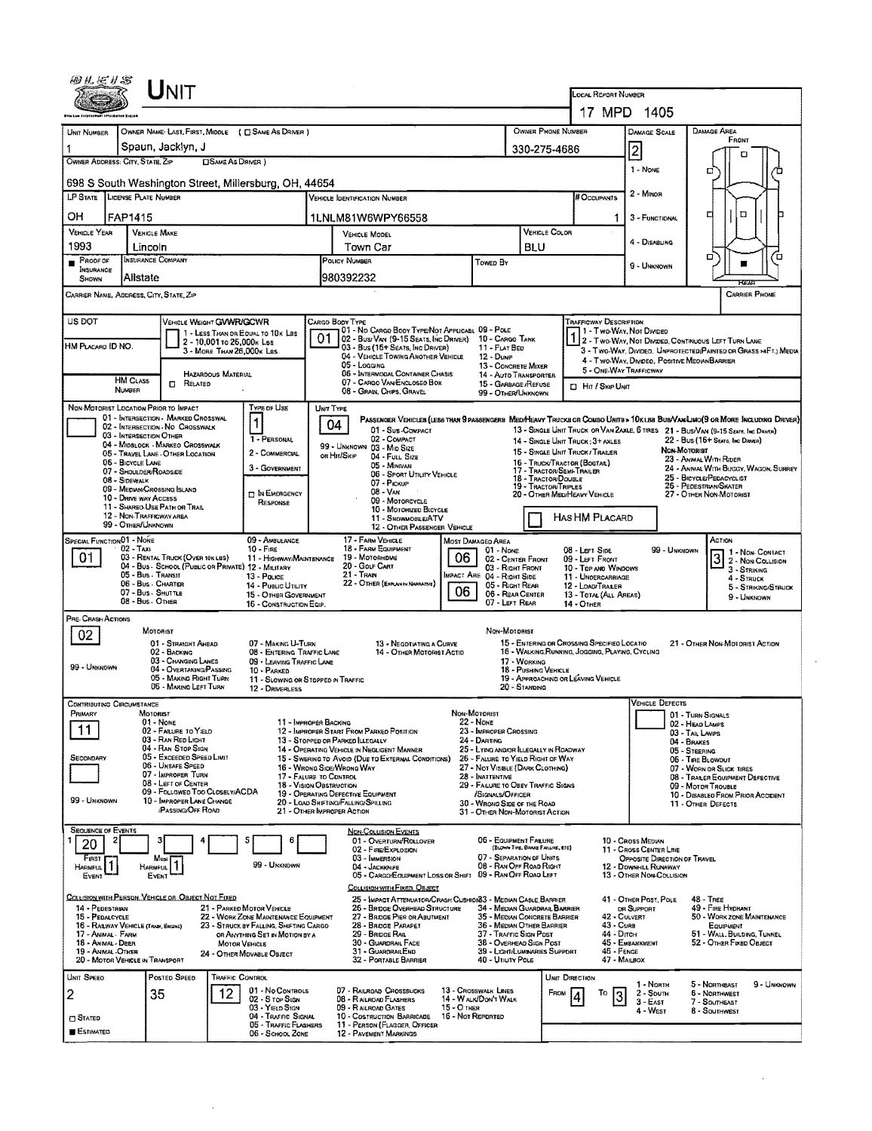| 细红毛り念                                                                                                                                                                                                                                                                                                                                                                                                                                                                                                                                                | <b>HOATER SYSTEM</b>                                                                                                                  |                                                                                                                                                                                                                                                                         |                                                                                     |                                                                                                                                                                            |    |                                                                                                                                                                                                                                                                                                                                                                                                                                                                                                                                                                                                                                                   |                                    |                                                                                                                                                                                                                                                                                                                                       |                                                            |                                                                                                                                                                                                                                                         | LOCAL REPORT NUMBER<br>17 MPD 1405                                                                                                            |                                                                                                                                                                                                                                                                                            |                                                                                                              |                                                                                                                                              |  |  |
|------------------------------------------------------------------------------------------------------------------------------------------------------------------------------------------------------------------------------------------------------------------------------------------------------------------------------------------------------------------------------------------------------------------------------------------------------------------------------------------------------------------------------------------------------|---------------------------------------------------------------------------------------------------------------------------------------|-------------------------------------------------------------------------------------------------------------------------------------------------------------------------------------------------------------------------------------------------------------------------|-------------------------------------------------------------------------------------|----------------------------------------------------------------------------------------------------------------------------------------------------------------------------|----|---------------------------------------------------------------------------------------------------------------------------------------------------------------------------------------------------------------------------------------------------------------------------------------------------------------------------------------------------------------------------------------------------------------------------------------------------------------------------------------------------------------------------------------------------------------------------------------------------------------------------------------------------|------------------------------------|---------------------------------------------------------------------------------------------------------------------------------------------------------------------------------------------------------------------------------------------------------------------------------------------------------------------------------------|------------------------------------------------------------|---------------------------------------------------------------------------------------------------------------------------------------------------------------------------------------------------------------------------------------------------------|-----------------------------------------------------------------------------------------------------------------------------------------------|--------------------------------------------------------------------------------------------------------------------------------------------------------------------------------------------------------------------------------------------------------------------------------------------|--------------------------------------------------------------------------------------------------------------|----------------------------------------------------------------------------------------------------------------------------------------------|--|--|
| UNIT NUMBER                                                                                                                                                                                                                                                                                                                                                                                                                                                                                                                                          | OWNER PHONE NUMBER<br>OWNER NAME: LAST, FIRST, MIDDLE ( C SAME AS DRIVER )<br>Spaun, Jacklyn, J<br>330-275-4686                       |                                                                                                                                                                                                                                                                         |                                                                                     |                                                                                                                                                                            |    |                                                                                                                                                                                                                                                                                                                                                                                                                                                                                                                                                                                                                                                   |                                    |                                                                                                                                                                                                                                                                                                                                       |                                                            |                                                                                                                                                                                                                                                         |                                                                                                                                               | DAMAGE AREA<br>FRONT<br>n                                                                                                                                                                                                                                                                  |                                                                                                              |                                                                                                                                              |  |  |
|                                                                                                                                                                                                                                                                                                                                                                                                                                                                                                                                                      | OWNER ADDRESS: CITY, STATE, ZIP<br><b>DSAME AS DRIVER</b> )<br>1 - NONE<br>а<br>698 S South Washington Street, Millersburg, OH, 44654 |                                                                                                                                                                                                                                                                         |                                                                                     |                                                                                                                                                                            |    |                                                                                                                                                                                                                                                                                                                                                                                                                                                                                                                                                                                                                                                   |                                    |                                                                                                                                                                                                                                                                                                                                       |                                                            |                                                                                                                                                                                                                                                         |                                                                                                                                               |                                                                                                                                                                                                                                                                                            |                                                                                                              |                                                                                                                                              |  |  |
| LP STATE LICENSE PLATE NUMBER                                                                                                                                                                                                                                                                                                                                                                                                                                                                                                                        |                                                                                                                                       |                                                                                                                                                                                                                                                                         |                                                                                     |                                                                                                                                                                            |    | <b>VERICLE IDENTIFICATION NUMBER</b>                                                                                                                                                                                                                                                                                                                                                                                                                                                                                                                                                                                                              |                                    |                                                                                                                                                                                                                                                                                                                                       |                                                            |                                                                                                                                                                                                                                                         | # Occupants                                                                                                                                   | 2 - MINOR                                                                                                                                                                                                                                                                                  |                                                                                                              |                                                                                                                                              |  |  |
| он                                                                                                                                                                                                                                                                                                                                                                                                                                                                                                                                                   | FAP1415                                                                                                                               |                                                                                                                                                                                                                                                                         |                                                                                     |                                                                                                                                                                            |    | 1LNLM81W6WPY66558                                                                                                                                                                                                                                                                                                                                                                                                                                                                                                                                                                                                                                 |                                    |                                                                                                                                                                                                                                                                                                                                       |                                                            |                                                                                                                                                                                                                                                         | 1                                                                                                                                             | 3 - FUNCTIONAL                                                                                                                                                                                                                                                                             |                                                                                                              | ᄆ<br>ם<br>п                                                                                                                                  |  |  |
| <b>VEHICLE YEAR</b><br>1993                                                                                                                                                                                                                                                                                                                                                                                                                                                                                                                          | <b>VEHICLE MAKE</b><br>Lincoln                                                                                                        |                                                                                                                                                                                                                                                                         |                                                                                     |                                                                                                                                                                            |    | <b>VEHICLE COLOR</b><br><b>VEHICLE MODEL</b><br>Town Car<br>BLU                                                                                                                                                                                                                                                                                                                                                                                                                                                                                                                                                                                   |                                    |                                                                                                                                                                                                                                                                                                                                       |                                                            |                                                                                                                                                                                                                                                         | 4 - DISABLING                                                                                                                                 |                                                                                                                                                                                                                                                                                            |                                                                                                              |                                                                                                                                              |  |  |
| $P_{ROOF}$ or<br><b>INSURANCE</b><br><b>SHOWN</b>                                                                                                                                                                                                                                                                                                                                                                                                                                                                                                    | INSURANCE COMPANY<br>Allstate                                                                                                         |                                                                                                                                                                                                                                                                         |                                                                                     |                                                                                                                                                                            |    | POLICY NUMBER<br>980392232                                                                                                                                                                                                                                                                                                                                                                                                                                                                                                                                                                                                                        | Towed By                           |                                                                                                                                                                                                                                                                                                                                       |                                                            |                                                                                                                                                                                                                                                         | □<br>9 - UNKNOWN                                                                                                                              |                                                                                                                                                                                                                                                                                            |                                                                                                              |                                                                                                                                              |  |  |
| CARRIER NAME, ADDRESS, CITY, STATE, ZIP                                                                                                                                                                                                                                                                                                                                                                                                                                                                                                              |                                                                                                                                       |                                                                                                                                                                                                                                                                         |                                                                                     |                                                                                                                                                                            |    |                                                                                                                                                                                                                                                                                                                                                                                                                                                                                                                                                                                                                                                   |                                    |                                                                                                                                                                                                                                                                                                                                       |                                                            |                                                                                                                                                                                                                                                         |                                                                                                                                               |                                                                                                                                                                                                                                                                                            |                                                                                                              | <b>CARRIER PHONE</b>                                                                                                                         |  |  |
| US DOT<br>HM PLACARD ID NO.                                                                                                                                                                                                                                                                                                                                                                                                                                                                                                                          |                                                                                                                                       | VEHICLE WEIGHT GWWR/GCWR                                                                                                                                                                                                                                                | 2 - 10,001 to 26,000k Lss<br>3 - MORE THAN 26,000K Las<br><b>HAZARDOUS MATERIAL</b> | 1 - LESS THAN OR EQUAL TO 10K LBS                                                                                                                                          | 01 | CARGO BODY TYPE<br>01 - No CARGO BODY TYPE/NOT APPLICABL 09 - POLE<br>02 - Busi Van (9-15 Seats, Inc Driver) 10 - Cargo Tank<br>03 - Bus (15+ Seats, Inc Driver)<br>11 - FLAT BED<br>04 - VEHICLE TOWING ANOTHER VEHICLE<br>12 - Dump<br>$05 -$ LOGGING<br>13 - CONCRETE MIXER<br>06 - INTERMODAL CONTAINER CHASIS<br>14 - AUTO TRANSPORTER                                                                                                                                                                                                                                                                                                       |                                    |                                                                                                                                                                                                                                                                                                                                       |                                                            | TRAFFICWAY DESCRIPTION<br>1 - Two-WAY, Nor Divided<br>2 - Two-Way, Not Divided, Continuous LEFT TURN LANE<br>3 - Two-Way, Divideo, Unprotected(Painted or Grass >4FT.) Media<br>4 - Two-Way, Divideo, Positive Meolan Barrier<br>5 - ONE-WAY TRAFFICWAY |                                                                                                                                               |                                                                                                                                                                                                                                                                                            |                                                                                                              |                                                                                                                                              |  |  |
|                                                                                                                                                                                                                                                                                                                                                                                                                                                                                                                                                      | <b>HM CLASS</b><br>NUMBER                                                                                                             | $\Box$ Related                                                                                                                                                                                                                                                          |                                                                                     |                                                                                                                                                                            |    | 07 - CARGO VAN ENCLOSED BOX<br>08 - GRAIN, CHIPS, GRAVEL                                                                                                                                                                                                                                                                                                                                                                                                                                                                                                                                                                                          |                                    | 99 - OTHER/UNKNOWN                                                                                                                                                                                                                                                                                                                    | 15 - GARBAGE / REFUSE                                      |                                                                                                                                                                                                                                                         | <b>D</b> Hr / Skip Unit                                                                                                                       |                                                                                                                                                                                                                                                                                            |                                                                                                              |                                                                                                                                              |  |  |
| TYPE OF USE<br>NON-MOTORIST LOCATION PRIOR TO IMPACT<br>01 - INTERSECTION - MARKED CROSSWAL<br>$\vert$ 1<br>02 - INTERSECTION - NO CROSSWALK<br>03 - INTERSECTION OTHER<br>1 - PERSONAL<br>04 - MIDBLOCK - MARKED CROSSWALK<br>2 - COMMERCIAL<br>05 - TRAVEL LANE - OTHER LOCATION<br>06 - BICYCLE LANE<br>3 - GOVERNMENT<br>07 - SHOULDER/ROADSIDE<br>08 - Sidewalk<br>09 - MEDIAN/CROSSING ISLAND<br><b>D</b> IN EMERGENCY<br>10 - DRIVE WAY ACCESS<br>RESPONSE<br>11 - SHAREO-USE PATH OR TRAIL<br>12 - NON-TRAFFICWAY AREA<br>99 - OTHER/UNKNOWN |                                                                                                                                       |                                                                                                                                                                                                                                                                         |                                                                                     |                                                                                                                                                                            |    | UNIT TYPE<br>PASSENGER VEHICLES (LESS THAN 9 PASSENGERS MED/HEAVY TRUCKS OR COMBO UNITS > 10K LES BUS/VAWLIMO(9 OR MORE INCLUDING DRIVER)<br>04<br>01 - Sus-COMPACT<br>02 - COMPACT<br>14 - SINGLE UNIT TRUCK: 3+ AXLES<br>99 - UNKNOWN 03 - MID SIZE<br>15 - SINGLE LINIT TRUCK / TRAILER<br>or Hit/Skip<br>04 - FULL SIZE<br>16 - TRUCK/TRACTOR (BOSTAR)<br>05 - MINIVAN<br>17 TRACTOR/SEMI-TRAILER<br>06 - SPORT UTILITY VEHICLE<br>18 - TRACTOR/DOUBLE<br>07 - Ріския<br>19 - TRACTOR/TRIPLES<br>08 - Van<br>20 - OTHER MEDIHEAVY VEHICLE<br>09 - MOTORCYCLE<br>10 - MOTORIZED BICYCLE<br>11 - SNOWMOBILE/ATV<br>12 - OTHER PASSENGER VEHICLE |                                    |                                                                                                                                                                                                                                                                                                                                       |                                                            |                                                                                                                                                                                                                                                         | HAS HM PLACARD                                                                                                                                | 13 - SINGLE UNIT TRUCK OR VAN ZAXLE, 6 TIRES 21 - BUS/VAN (9-15 SEATS, INC DRIVER)<br>22 - Bus (16+ Seats, Inc Draver)<br>NON-MOTORIST<br>23 - ANIMAL WITH RIDER<br>24 - ANIMAL WITH BUGGY, WAGON, SURREY<br>25 - Bicycle/Penacyclist<br>26 - PEDESTRIAN/SKATER<br>27 - OTHER NON-MOTORIST |                                                                                                              |                                                                                                                                              |  |  |
| SPECIAL FUNCTION 01 - NONE<br>01                                                                                                                                                                                                                                                                                                                                                                                                                                                                                                                     | $02 - TAXI$<br>05 - Bus - Transit<br>06 - Bus - Charter<br>07 - Bus - SHUTTLE<br>08 - Bus. Other                                      | 03 - RENTAL TRUCK (OVER 10K LBS)<br>04 - BUS - SCHOOL (PUBLIC OR PRIVATE) 12 - MILITARY                                                                                                                                                                                 |                                                                                     | 09 - AMBULANCE<br>$10 -$ Fine<br>11 - HIGHWAY/MAINTENANCE<br>13 - Pouce<br>14 - PUBLIC UTILITY<br>15 - OTHER GOVERNMENT<br>16 - CONSTRUCTION EQIP.                         |    | 17 - FARM VEHICLE<br>18 - FARM EQUIPMENT<br>19 - Мотоянрме<br>20 - GOLF CART<br>21 TRAN<br>22 - OTHER (EXPLANIN NARRATIVE)                                                                                                                                                                                                                                                                                                                                                                                                                                                                                                                        | 06<br>06                           | <b>MOST DAMAGED AREA</b><br>01 - NONE<br>03 - RIGHT FRONT<br>IMPACT ARE 04 - RIGHT SIDE<br>05 - RIGHT REAR<br>07 - LEFT REAR                                                                                                                                                                                                          | 02 - CENTER FRONT<br>06 - REAR CENTER                      |                                                                                                                                                                                                                                                         | 08 - Lert Sipe<br>09 - LEFT FRONT<br>10 - Top and Windows<br>11 - UNDERCARRIAGE<br>12 - LOAD/TRALER<br>13 - TOTAL (ALL AREAS)<br>$14 -$ OTHER |                                                                                                                                                                                                                                                                                            | 99 - UNKNOWN                                                                                                 | $3$ $\overline{1}$ - Now-Contact<br>$3 -$ Striking<br>4 - STRUCK<br>5 - STRIKING/STRUCK<br>9 - LINKNOWN                                      |  |  |
| PRE-CRASH ACTIONS<br>02<br>99 - UNKNOWN                                                                                                                                                                                                                                                                                                                                                                                                                                                                                                              |                                                                                                                                       | MOTORIST<br>01 - STRAIGHT AHEAD<br>02 - BACKING<br>03 - CHANGING LANES<br>04 - OVERTAKING/PASSING<br>05 - MAKING RIGHT TURN<br>06 - MAKING LEFT TURN                                                                                                                    |                                                                                     | 07 - MAKING U-TURN<br>08 - ENTERING TRAFFIC LANE<br>09 - LEAVING TRAFFIC LANE<br>10 - PARKED<br>11 - SLOWING OR STOPPED IN TRAFFIC<br>12 - DRIVERLESS                      |    | 13 - NEGOTIATING A CURVE<br>14 - OTHER MOTORIST ACTIO                                                                                                                                                                                                                                                                                                                                                                                                                                                                                                                                                                                             |                                    | Non-Motorist                                                                                                                                                                                                                                                                                                                          | 17 - WORKING<br>18 - PUSHING VEHICLE<br>20 - Standing      |                                                                                                                                                                                                                                                         | 15 - ENTERING OR CROSSING SPECIFIED LOCATIO<br>16 - WALKING RUNNING, JOGGING, PLAYING, CYCLING<br>19 - APPROACHING OR LEAVING VEHICLE         |                                                                                                                                                                                                                                                                                            |                                                                                                              | 21 - OTHER NON-MOTORIST ACTION                                                                                                               |  |  |
| <b>CONTRIBUTING CIRCUMSTANCE</b><br>PRIMARY<br>11<br>SECONDARY<br>99 - UNKNOWN                                                                                                                                                                                                                                                                                                                                                                                                                                                                       | <b>MOTORIST</b>                                                                                                                       | 01 - None<br>02 - FAILURE TO YIELD<br>03 - RAN RED LIGHT<br>04 - RAN STOP SIGN<br>05 - Exceeped Speed LIMIT<br>06 - UNSAFE SPEED<br>07 - IMPROPER TURN<br>08 - LEFT OF CENTER<br>09 - Followed Too Closely/ACDA<br>10 - IMPROPER LANE CHANGE<br><b>PASSING/OFF ROAD</b> |                                                                                     | 11 - IMPROPER BACKING<br>17 - FALURE TO CONTROL<br>18 - Vision OBSTRUCTION                                                                                                 |    | 12 - IMPROPER START FROM PARKED POSITION<br>13 - STOPPED OR PARKED LLEGALLY<br>14 - OPERATING VEHICLE IN NEGLIGENT MANNER<br>15 - SWERING TO AVOID (DUE TO EXTERNAL CONDITIONS)<br>16 - WRONG SIDE/WRONG WAY<br>19 - OPERATING DEFECTIVE EQUIPMENT<br>20 - LOAD SHETING/FALLING/SPILLING<br>21 - OTHER IMPROPER ACTION                                                                                                                                                                                                                                                                                                                            |                                    | NON-MOTORIST<br>22 - None<br>23 - IMPROPER CROSSING<br>24 - DARTING<br>25 - LYING AND/OR ILLEGALLY IN ROADWAY<br>26 - FALURE TO YIELD RIGHT OF WAY<br>27 - NOT VISIBLE (DARK CLOTHING)<br>28 - INATTENTIVE<br>29 - FAILURE TO OBEY TRAFFIC SIGNS<br>/SIGNALS/OFFICER<br>30 - WRONG SIDE OF THE ROAD<br>31 - OTHER NON-MOTORIST ACTION |                                                            |                                                                                                                                                                                                                                                         |                                                                                                                                               | VEHICLE DEFECTS                                                                                                                                                                                                                                                                            | 01 - TURN SIGNALS<br>02 - HEAD LAMPS<br>03 - TAIL LANPS<br>04 - BRAKES<br>05 - STEERING<br>06 - Tire BLowout | 07 - WORN OR SLICK TIRES<br>08 - TRALER EQUIPMENT DEFECTIVE<br>09 - MOTOR TROUBLE<br>10 - DISABLED FROM PRIOR ACCIDENT<br>11 - OTHER DEFECTS |  |  |
| <b>SEQUENCE OF EVENTS</b><br>20<br>FIRST<br><b>HARMFUL</b><br>EVENT                                                                                                                                                                                                                                                                                                                                                                                                                                                                                  | HARMFUL                                                                                                                               | Most<br>H.<br>EVENT                                                                                                                                                                                                                                                     |                                                                                     | 6<br>5<br>99 - UNKNOWN                                                                                                                                                     |    | <b>NON-COLLISION EVENTS</b><br>01 - OVERTURN/ROLLOVER<br>02 - FIRE/EXPLOSION<br>03 - IMMERSION<br>04 - JACKKNIFE<br>05 - CARGO/EQUIPMENT LOSS OR SHIFT<br>COLLISION WITH FIXED, OBJECT                                                                                                                                                                                                                                                                                                                                                                                                                                                            |                                    | 07 - SEPARATION OF UNITS<br>08 - RAN OFF ROAD RIGHT<br>09 - RAN OFF ROAD LEFT                                                                                                                                                                                                                                                         | 06 - EQUIPMENT FAILURE<br>(BLOWN TIRE, BRAKE FAILURE, ETC) |                                                                                                                                                                                                                                                         |                                                                                                                                               | 10 - Cross Medun<br>11 - CROSS CENTER LINE<br>OPPOSITE DIRECTION OF TRAVEL<br>12 - DOWNHILL RUNAWAY<br>13 - OTHER NON-COLLISION                                                                                                                                                            |                                                                                                              |                                                                                                                                              |  |  |
| 14 - PEDESTRIAN<br>15 - PEDALCYCLE<br>17 - ANIMAL - FARM<br>18 - ANMAL - DEER<br>19 - ANIMAL OTHER                                                                                                                                                                                                                                                                                                                                                                                                                                                   | 16 - RAILWAY VEHICLE (TRAIN, ENGINE)<br>20 - MOTOR VEHICLE IN TRANSPORT                                                               | COLLISION WITH PERSON, VEHICLE OR OBJECT NOT FIXED                                                                                                                                                                                                                      | MOTOR VEHICLE                                                                       | 21 - PARKED MOTOR VEHICLE<br>22 - WORK ZONE MAINTENANCE EQUIPMENT<br>23 - STRUCK BY FALLING, SHIFTING CARGO<br>OR ANYTHING SET IN MOTION BY A<br>24 - OTHER MOVABLE OBJECT |    | 25 - IMPACT ATTENUATOR/CRASH CUSHION33 - MEDIAN CABLE BARRIER<br>26 - BRIDGE OVERHEAD STRUCTURE<br>27 - BRIDGE PIER OR ABUTMENT<br>28 - BROGE PARAPET<br>29 - BRIDGE RAIL<br>30 - GUARDRAIL FACE<br>31 - GUARDRAILEND<br>32 - PORTABLE BARRIER                                                                                                                                                                                                                                                                                                                                                                                                    |                                    | 34 - MEDIAN GUARDRAIL BARRIER<br>35 - MEDIAN CONCRETE BARRIER<br>36 - MEDIAN OTHER BARRIER<br>37 - TRAFFIC SIGN POST<br>38 - Overhead Sign Post<br>39 - LIGHTILUMINARIES SUPPORT<br>40 - UTILITY POLE                                                                                                                                 |                                                            |                                                                                                                                                                                                                                                         | 43 - Cuna<br>44 - Опен<br>46 - FENCE<br>47 - MAILBOX                                                                                          | 41 - OTHER POST, POLE<br>OR SUPPORT<br>42 - CULVERT<br>45 - EMBANKMENT                                                                                                                                                                                                                     |                                                                                                              | <b>48 - TREE</b><br>49 - FIRE HYDRANT<br>50 - WORK ZONE MAINTENANCE<br>EQUIPMENT<br>51 - WALL, BUILDENG, TUNNEL<br>52 - Отнев Ежер Овлест    |  |  |
| UNIT SPEED<br>2<br><b>CI STATED</b><br>ESTIMATED                                                                                                                                                                                                                                                                                                                                                                                                                                                                                                     |                                                                                                                                       | Posteo SPEED<br>35                                                                                                                                                                                                                                                      | <b>TRAFFIC CONTROL</b><br>12.                                                       | 01 - No CONTROLS<br>02 - S TOP SIGN<br>03 - YIELD SIGN<br>04 - TRAFFIC SIGNAL<br>05 - TRAFFIC FLASHERS<br>06 - SCHOOL ZONE                                                 |    | 07 - RAILROAD CROSSBUCKS<br>08 - RAILROAD FLASHERS<br>09 - RAILROAD GATES<br>10 - COSTRUCTION BARRICADE<br>11 - PERSON (FLAGGER, OFFICER<br>12 - PAVEMENT MARKINGS                                                                                                                                                                                                                                                                                                                                                                                                                                                                                | $15 - O$ THER<br>16 - Not Reported | 13 - Crosswalk Lines<br>14 - W ALK/DON'T WALK                                                                                                                                                                                                                                                                                         |                                                            | UNIT DIRECTION<br>FROM                                                                                                                                                                                                                                  | To                                                                                                                                            | 1 - North<br>$2 -$ South<br>$3 - E$ AST<br>4 - West                                                                                                                                                                                                                                        |                                                                                                              | 5 - NORTHEAST<br>9 - UNKNOWN<br><b>6 - NORTHWEST</b><br>7 - SOUTHEAST<br>8 - Southwest                                                       |  |  |

 $\mathcal{A}^{\text{max}}_{\text{max}}$ 

 $\sim 10^{-10}$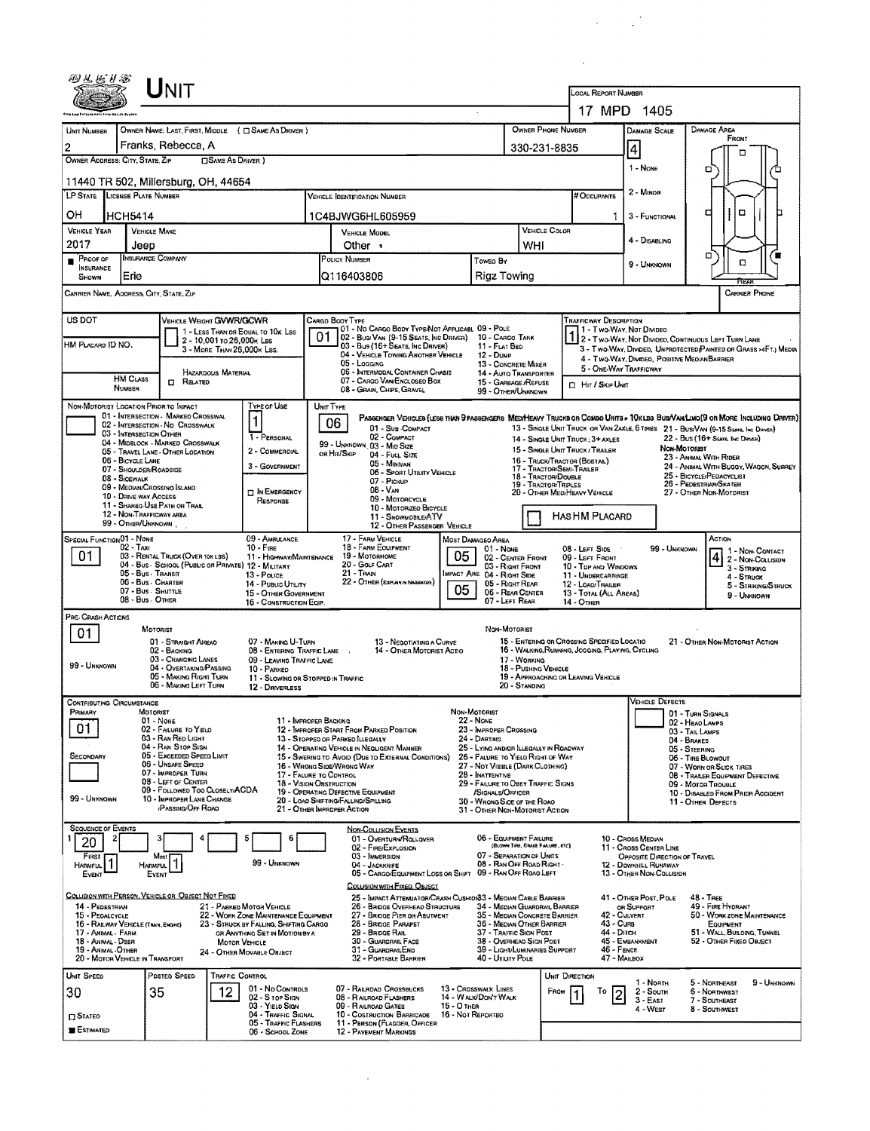|                                                                                                                                                                                                                                     |                                          | UNIT                                                                        |                                                                          |                                        |                                                                                                                                 |                                                                                   |                                     |                                                                                          |                                                                            |                                                                                                                           |                                                                                                                             |  |  |  |  |
|-------------------------------------------------------------------------------------------------------------------------------------------------------------------------------------------------------------------------------------|------------------------------------------|-----------------------------------------------------------------------------|--------------------------------------------------------------------------|----------------------------------------|---------------------------------------------------------------------------------------------------------------------------------|-----------------------------------------------------------------------------------|-------------------------------------|------------------------------------------------------------------------------------------|----------------------------------------------------------------------------|---------------------------------------------------------------------------------------------------------------------------|-----------------------------------------------------------------------------------------------------------------------------|--|--|--|--|
|                                                                                                                                                                                                                                     |                                          |                                                                             |                                                                          |                                        |                                                                                                                                 | LOCAL REPORT NUMBER<br>17 MPD 1405                                                |                                     |                                                                                          |                                                                            |                                                                                                                           |                                                                                                                             |  |  |  |  |
|                                                                                                                                                                                                                                     |                                          |                                                                             |                                                                          |                                        |                                                                                                                                 |                                                                                   |                                     |                                                                                          |                                                                            |                                                                                                                           |                                                                                                                             |  |  |  |  |
| UNIT NUMBER<br>$\overline{c}$                                                                                                                                                                                                       |                                          | OWNER NAME: LAST, FIRST, MIDDLE ( C SAME AS DRIVER )<br>Franks, Rebecca, A  |                                                                          |                                        |                                                                                                                                 |                                                                                   |                                     | <b>OWNER PHONE NUMBER</b><br>DAMAGE AREA<br><b>DAMAGE SCALE</b><br>FRONT<br>330-231-8835 |                                                                            |                                                                                                                           |                                                                                                                             |  |  |  |  |
| OWNER ADDRESS: CITY, STATE, ZIP                                                                                                                                                                                                     |                                          |                                                                             | <b>OSAME AS DRIVER</b> )                                                 |                                        |                                                                                                                                 |                                                                                   | $\vert 4 \vert$<br>1 - NONE         |                                                                                          |                                                                            |                                                                                                                           |                                                                                                                             |  |  |  |  |
|                                                                                                                                                                                                                                     |                                          | 11440 TR 502, Millersburg, OH, 44654                                        |                                                                          |                                        |                                                                                                                                 |                                                                                   |                                     |                                                                                          |                                                                            |                                                                                                                           | о                                                                                                                           |  |  |  |  |
| LP STATE LICENSE PLATE NUMBER                                                                                                                                                                                                       |                                          |                                                                             |                                                                          |                                        | <b>VEHICLE IDENTIFICATION NUMBER</b>                                                                                            |                                                                                   |                                     |                                                                                          | # Occupants                                                                | 2 - MINOR                                                                                                                 |                                                                                                                             |  |  |  |  |
| OН                                                                                                                                                                                                                                  | <b>HCH5414</b>                           |                                                                             |                                                                          |                                        | 1C4BJWG6HL605959                                                                                                                |                                                                                   |                                     |                                                                                          | 1.                                                                         | 3 - FUNCTIONAL                                                                                                            | o<br>а                                                                                                                      |  |  |  |  |
| VEHICLE YEAR<br>2017                                                                                                                                                                                                                | <b>VEHICLE MAKE</b><br>Jeep              |                                                                             |                                                                          | <b>VEHICLE MODEL</b><br>WHI<br>Other • |                                                                                                                                 |                                                                                   |                                     | VEHICLE COLOR                                                                            |                                                                            | 4 - DISABLING                                                                                                             |                                                                                                                             |  |  |  |  |
| PROOF OF<br><b>INSURANCE</b>                                                                                                                                                                                                        |                                          | <b>INSURANCE COMPANY</b>                                                    |                                                                          |                                        | POLICY NUMBER<br>Toweo By                                                                                                       |                                                                                   |                                     |                                                                                          |                                                                            | 9 - UNKNOWN                                                                                                               | σ<br>α                                                                                                                      |  |  |  |  |
| SHOWN<br>CARRIER NAME, ADORESS, CITY, STATE, ZIP                                                                                                                                                                                    | Erie                                     |                                                                             |                                                                          |                                        | Q116403806                                                                                                                      | Rigz Towing                                                                       |                                     |                                                                                          |                                                                            |                                                                                                                           | বিজয়<br>CARRER PHONE                                                                                                       |  |  |  |  |
|                                                                                                                                                                                                                                     |                                          |                                                                             |                                                                          |                                        |                                                                                                                                 |                                                                                   |                                     |                                                                                          |                                                                            |                                                                                                                           |                                                                                                                             |  |  |  |  |
| US DOT<br>VEHICLE WEIGHT GVWR/GCWR<br><b>TRAFFICWAY DESCRIPTION</b><br>CARGO BOOY TYPE<br>01 - No CARGO BODY TYPE/NOT APPLICABL 09 - POLE<br>1 - Two-Way, Not Divideo<br>1 - LESS THAN OR EQUAL TO 10K LBS<br>01<br>10 - CARGO TANK |                                          |                                                                             |                                                                          |                                        |                                                                                                                                 |                                                                                   |                                     |                                                                                          |                                                                            |                                                                                                                           |                                                                                                                             |  |  |  |  |
| HM PLACARD ID NO.                                                                                                                                                                                                                   |                                          | 2 - 10,001 To 26,000K LBS                                                   | 3 - MORE THAN 26,000K LBS.                                               |                                        | 02 - Bus/Van (9-15 Seats, Inc Driver)<br>03 - Bus (16+ Seats, Inc Driver)<br>04 - VEHICLE TOWING ANOTHER VEHICLE                | 11 - FLAT BED<br>12 - Dump                                                        |                                     |                                                                                          |                                                                            | 1 2 - T WO-WAY, NOT DIVIDED, CDNTINUOUS LEFT TURN LANE<br>3 - Two-Way, Divided, Unprotected Painted or Grass >4Ft.) Media |                                                                                                                             |  |  |  |  |
|                                                                                                                                                                                                                                     |                                          | HAZARDOUS MATERIAL                                                          |                                                                          |                                        | 05 - LOGGING<br>06 - INTERMODAL CONTAINER CHASIS                                                                                | 13 - CONCRETE MIXER<br>14 - AUTO TRANSPORTER                                      |                                     |                                                                                          | 5 - ONE-WAY TRAFFICWAY                                                     | 4 - Two-Way, Divideo, Positive Median Barrier                                                                             |                                                                                                                             |  |  |  |  |
|                                                                                                                                                                                                                                     | <b>HM CLASS</b><br>NUMBER                | <b>D</b> RELATED                                                            |                                                                          |                                        | 07 - CARGO VAN ENGLOSED BOX<br>08 - GRAIN, CHIPS, GRAVEL                                                                        | 15 - GARBAGE /REFUSE<br>99 - OTHER/UNKNOWN                                        |                                     |                                                                                          | <b>D</b> Hit / Skip Unit                                                   |                                                                                                                           |                                                                                                                             |  |  |  |  |
| NON-MOTORIST LOCATION PRIOR TO IMPACT                                                                                                                                                                                               |                                          | 01 - INTERSECTION - MARKED CROSSWAL                                         | TYPE OF USE                                                              |                                        | UNIT TYPE                                                                                                                       |                                                                                   |                                     |                                                                                          |                                                                            |                                                                                                                           | PASSENGER VEHICLES (LESS THAN 9 PASSENGERS MEDIMEAVY TRUCKS OR COMBO UNITS > 10KLBS BUS/VAMLIMO(9 OR MORE INCLUDING DRIVER) |  |  |  |  |
|                                                                                                                                                                                                                                     | 03 - INTERSECTION OTHER                  | 02 - INTERSECTION - NO CROSSWALK                                            | $\mathbf{1}$<br>1 - PERSONAL                                             |                                        | 06<br>01 - Sua - COMPACT<br>02 - COMPACT                                                                                        |                                                                                   |                                     |                                                                                          | 14 - SINGLE UNIT TRUCK: 3+ AXLES                                           |                                                                                                                           | 13 - SINGLE UNIT TRUCK OR VAN ZAXLE, 6 TORES 21 - BUS/VAN (9-15 SEATS, INC DRIVER)<br>22 - Bus (16+ Seats, Inc Driver)      |  |  |  |  |
|                                                                                                                                                                                                                                     | 06 - BICYCLE LANE                        | 04 - MIDBLOCK - MARKED CROSSWALK<br>05 - TRAVEL LANE - OTHER LOCATION       | 2 - COMMERCIAL                                                           |                                        | 99 - UNKNOWN 03 - MID SIZE<br>or Hit/Skip<br>04 - Full Size                                                                     |                                                                                   |                                     |                                                                                          | Non-Motorist<br>15 - SINGLE UNIT TRUCK / TRAILER<br>23 - ANIMAL WITH RIDER |                                                                                                                           |                                                                                                                             |  |  |  |  |
|                                                                                                                                                                                                                                     | 07 - SHOULDER/ROADSIDE<br>08 - Sioewalk  |                                                                             | 3 - Government                                                           |                                        | 05 - Minivan<br>06 - SPORT UTILITY VEHICLE<br>07 - Pickup                                                                       |                                                                                   |                                     | 18 - TRACTOR/DOUBLE                                                                      | 16 - Truck/Tractor (BOBTAL)<br>17 - Tractor/Semi-Trailer                   |                                                                                                                           | 24 - ANIMAL WITH BUGGY, WAGON, SURREY<br>25 - BICYCLE/PEDACYCLIST                                                           |  |  |  |  |
|                                                                                                                                                                                                                                     | 10 - Drive way Access                    | 09 - MEDIAN CROSSINO ISLAND                                                 | <b>DIN EMERGENCY</b><br>RESPONSE                                         |                                        | 19 - TRACTOR/TRPLES<br>08 - VAN<br>09 - MOTORCYCLE                                                                              |                                                                                   |                                     |                                                                                          |                                                                            | 26 - Pedestrian/Skater<br>20 - OTHER MEDIMEAVY VEHICLE<br>27 - OTHER NON-MOTORIST                                         |                                                                                                                             |  |  |  |  |
|                                                                                                                                                                                                                                     | 12 - NON-TRAFFICWAY AREA                 | 11 - SHAREO USE PATH OR TRAIL                                               |                                                                          |                                        | 10 - MOTORIZEO BICYCLE<br>11 - SNOWMOBILEATV                                                                                    |                                                                                   |                                     |                                                                                          |                                                                            | HAS HM PLACARD                                                                                                            |                                                                                                                             |  |  |  |  |
| SPECIAL FUNCTION 01 - NONE                                                                                                                                                                                                          | 99 - OTHER/UNKNOWN                       |                                                                             | 09 - AMBULANCE                                                           |                                        | 12 - OTHER PASSENGER VEHICLE<br>17 - FARM VEHICLE                                                                               | <b>MOST DAMAGEO AREA</b>                                                          |                                     |                                                                                          |                                                                            |                                                                                                                           | ACTION                                                                                                                      |  |  |  |  |
| 01                                                                                                                                                                                                                                  | 02 - TAXI                                | 03 - RENTAL TRUCK (OVER 10K LBS)                                            | $10 -$ Fu $E$<br>11 - HIGHWAY/MAINTENANCE                                |                                        | 18 - FARM EQUIPMENT<br>19 - Мотопноме                                                                                           | 01 - NONE<br>05                                                                   | 02 - CENTER FRONT                   |                                                                                          | 08 - LEFT SIDE<br>09 - LEFT FRONT                                          | 99 - UNKNOWN                                                                                                              | 1 1 - Non Contact<br>2 - Non-Collision                                                                                      |  |  |  |  |
|                                                                                                                                                                                                                                     | 05 - Bus - Transit<br>06 - Bus - Charter | 04 - Bus - SCHOOL (PUBLIC OR PRIVATE) 12 - MILITARY                         | 13 - Pouce<br>14 - PUBLIC UTILITY                                        |                                        | 20 - Gouf Cart<br>$21 -$ Trapi<br>22 - OTHER (EXPLAN IN NARRATIVE)                                                              | IMPACT ARE 04 - RIGHT SIDE                                                        | 03 - Right Front<br>05 - RIGHT REAR |                                                                                          | 10 - TOP AND WINDOWS<br>11 - UNDERCARRIAGE                                 |                                                                                                                           | 3 - STRIKING<br>4 - STRUCK                                                                                                  |  |  |  |  |
|                                                                                                                                                                                                                                     | 07 - Bus - SHUTTLE<br>08 - Bus - O'ner   |                                                                             | 15 - OTHER GOVERNMENT<br>16 - CONSTRUCTION EQIP.                         |                                        |                                                                                                                                 | 05                                                                                | 06 - REAR CENTER<br>07 - LEFT REAR  |                                                                                          | 12 - LOAD/TRAILER<br>13 - TOTAL (ALL AREAS)<br><b>14 - OTHER</b>           |                                                                                                                           | 5 - STRIKING/STRUCK<br>9 - UNKNOWN                                                                                          |  |  |  |  |
| PRE-CRASH ACTIONS                                                                                                                                                                                                                   |                                          |                                                                             |                                                                          |                                        |                                                                                                                                 |                                                                                   |                                     |                                                                                          |                                                                            |                                                                                                                           |                                                                                                                             |  |  |  |  |
| 01                                                                                                                                                                                                                                  |                                          | MOTORIST<br>01 - STRAIGHT AHEAD                                             | 07 - MAKING U-TURN                                                       |                                        | 13 - NEGOTIATING A CURVE                                                                                                        |                                                                                   | Non-Motorist                        |                                                                                          | 15 - ENTERING OR CROSSING SPECIFIED LOCATIO                                |                                                                                                                           | 21 - OTHER NON-MOTORIST ACTION                                                                                              |  |  |  |  |
| 99 - UNKNOWN                                                                                                                                                                                                                        |                                          | 02 - BACKING<br>03 - Changing Lanes<br>04 - OVERTAKING/PASSING              | 08 - ENTERING TRAFFIC LANE<br>09 - LEAVING TRAFFIC LANE<br>10 - PARKED   |                                        | 14 - OTHER MOTORIST ACTIO                                                                                                       |                                                                                   | 17 - WORKING                        | 18 - PUSHING VEHICLE                                                                     | 16 - WALKING, RUNNING, JOGGING, PLAYING, CYCLING                           |                                                                                                                           |                                                                                                                             |  |  |  |  |
|                                                                                                                                                                                                                                     |                                          | 05 - MAKING RIGHT TURN<br>06 - MAKING LEFT TURN                             | 11 - SLOWING OR STOPPED IN TRAFFIC<br>12 - DRIVERLESS                    |                                        |                                                                                                                                 |                                                                                   | 20 - STANDING                       |                                                                                          | 19 - APPROACHING OR LEAVING VEHICLE                                        |                                                                                                                           |                                                                                                                             |  |  |  |  |
| <b>CONTRIBUTING CIRCUMSTANCE</b>                                                                                                                                                                                                    |                                          |                                                                             |                                                                          |                                        |                                                                                                                                 |                                                                                   |                                     |                                                                                          |                                                                            | <b>VEHICLE DEFECTS</b>                                                                                                    |                                                                                                                             |  |  |  |  |
| Ряшал<br>01                                                                                                                                                                                                                         | MOTORIST                                 | 01 - None<br>02 - FAILURE TO YIELD                                          | 11 - IMPROPER BACKING                                                    |                                        | 12 - IMPROPER START FROM PARKED POSITION                                                                                        | Non-Motorist<br>22 - None<br>23 - IMPROPER CROSSING                               |                                     |                                                                                          |                                                                            |                                                                                                                           | 01 - TURN SIGNALS<br>02 - HEAO LAMPS<br>03 - TAIL LAMPS                                                                     |  |  |  |  |
|                                                                                                                                                                                                                                     |                                          | 03 - RAN RED LIGHT<br>04 - RAN STOP SIGN                                    |                                                                          |                                        | 13 - STOPPED OR PARKED LLEGALLY<br>14 - OPERATING VEHICLE IN NEGLIGENT MANNER                                                   | 24 - DARTING<br>25 - LYING AND/OR LLEGALLY IN ROADWAY                             |                                     |                                                                                          |                                                                            |                                                                                                                           | 04 - BRAKES<br>05 - STEERING                                                                                                |  |  |  |  |
| SECONDARY                                                                                                                                                                                                                           |                                          | 05 - Exceeded Speed Limit<br>06 - Unsafe Speed                              |                                                                          |                                        | 15 - Swering to Avoid (Due to External Conditions)<br>16 - WRONG SIDE/WRONG WAY                                                 | 26 - FALURE TO YIELD RIGHT OF WAY<br>27 - NOT VISIBLE (DARK CLOTHING)             |                                     |                                                                                          |                                                                            |                                                                                                                           | 06 - TIRE BLOWOUT<br>07 - WORN OR SLICK TIRES                                                                               |  |  |  |  |
|                                                                                                                                                                                                                                     |                                          | 07 - IMPROPER TURN<br>08 - LEFT OF CENTER<br>09 - FOLLOWED TOO CLOSELY/ACDA | 17 - FALURE TO CONTROL                                                   |                                        | 18 - VISION OBSTRUCTION                                                                                                         | 28 - INATTENTIVE<br>29 - FAILURE TO OBEY TRAFFIC SIGNS                            |                                     |                                                                                          |                                                                            |                                                                                                                           | 08 - TRAILER EQUIPMENT DEFECTIVE<br>09 - MOTOR TROUBLE                                                                      |  |  |  |  |
| 99 - Unknown                                                                                                                                                                                                                        |                                          | 10 - IMPROPER LANE CHANGE<br><b><i>IPASSING/OFF ROAD</i></b>                |                                                                          |                                        | 19 - OPERATING DEFECTIVE EQUIPMENT<br>20 - LOAD SHIFTING/FALLING/SPILLING<br>21 - OTHER IMPROPER ACTION                         | /Signals/Officer<br>30 - WRONG SIDE OF THE ROAD<br>31 - OTHER NON-MOTORIST ACTION |                                     |                                                                                          |                                                                            |                                                                                                                           | 10 - DISABLED FROM PRIOR ACCIDENT<br>11 - OTHER DEFECTS                                                                     |  |  |  |  |
| <b>SEQUENCE OF EVENTS</b>                                                                                                                                                                                                           |                                          |                                                                             |                                                                          |                                        | NON-COLLISION EVENTS                                                                                                            |                                                                                   |                                     |                                                                                          |                                                                            |                                                                                                                           |                                                                                                                             |  |  |  |  |
| 20<br>2                                                                                                                                                                                                                             |                                          |                                                                             | 6                                                                        |                                        | 01 - OVERTURN/ROLLOVER<br>02 - FIRE/EXPLOSION                                                                                   | 06 - EQUIPMENT FAILURE                                                            |                                     | (BLOWN TIRE, BRAKE FAILURE, ETC)                                                         |                                                                            | 10 - Cross Median<br>11 - CROSS CENTER LINE                                                                               |                                                                                                                             |  |  |  |  |
| FIRST<br><b>HARMFUL</b><br><b>EVENT</b>                                                                                                                                                                                             | <b>HARMFUL</b>                           | EVENT                                                                       | 99 - UNKNOWN                                                             |                                        | 03 - IMMERSION<br>04 - JACKKNIFE<br>05 - CARGO/EQUIPMENT LOSS OR SHIFT                                                          | 07 - SEPARATION OF UNITS<br>08 - RAN OFF ROAD RIGHT<br>09 - RAN OFF ROAD LEFT     |                                     |                                                                                          |                                                                            | OPPOSITE DIRECTION OF TRAVEL<br>12 - DOWNHILL RUNAWAY<br>13 - OTHER NON-COLLISION                                         |                                                                                                                             |  |  |  |  |
|                                                                                                                                                                                                                                     |                                          |                                                                             |                                                                          |                                        | COLUSION WITH FIXED, OBJECT                                                                                                     |                                                                                   |                                     |                                                                                          |                                                                            |                                                                                                                           |                                                                                                                             |  |  |  |  |
| 14 - PEDESTRIAN<br>15 - PEDALCYCLE                                                                                                                                                                                                  |                                          | COLLISION WITH PERSON, VEHICLE OR OBJECT NOT FIXED                          | 21 - PARKED MOTOR VEHICLE<br>22 - WORK ZONE MAINTENANCE EQUIPMENT        |                                        | 25 - IMPACT ATTENUATOR/CRASH CUSHION33 - MEDIAN CABLE BARRIER<br>26 - BRIDGE OVERHEAD STRUCTURE<br>27 - BRIDGE PIER OR ABUTMENT | 34 - MEDIAN GUARDRAIL BARRIER<br>35 - Median Concrete Barrier                     |                                     |                                                                                          | 42 - CULVERT                                                               | 41 - OTHER POST, POLE<br>OR SUPPORT                                                                                       | 48 - TREE<br>49 - FIRE HYDRANT<br>50 - WORK ZONE MAINTENANCE                                                                |  |  |  |  |
| 16 - RAILWAY VEHICLE (TRAIN, ENGINE)<br>17 - Animal - Farm                                                                                                                                                                          |                                          |                                                                             | 23 - STRUCK BY FALLING, SHIFTING CARGO<br>OR ANYTHING SET IN MOTION BY A |                                        | 28 - BRIDGE PARAPET<br>29 - BRIDGE RAIL                                                                                         | 36 - MEDIAN OTHER BARRIER<br>37 - TRAFFIC SIGN POST                               |                                     |                                                                                          | 43 - Cura<br>44 - Олен                                                     |                                                                                                                           | EQUIPMENT<br>51 - WALL, BUILDING, TUNNEL                                                                                    |  |  |  |  |
| 18 - ANIMAL - DEER<br>19 - ANIMAL -OTHER                                                                                                                                                                                            |                                          |                                                                             | <b>MOTOR VEHICLE</b><br>24 - OTHER MOVABLE OBJECT                        |                                        | 30 - GUARDRAIL FACE<br>31 - GUARDRAILEND                                                                                        | 38 - Overhead Sign Post<br>39 - LIGHT/LUMINARIES SUPPORT                          |                                     |                                                                                          | 46 - FENCE                                                                 | 45 - EMBANKMENT                                                                                                           | 52 - OTHER FIXED OBJECT                                                                                                     |  |  |  |  |
| 20 - MOTOR VEHICLE IN TRANSPORT<br>UNIT SPEED                                                                                                                                                                                       |                                          | Posteo Speed                                                                | TRAFFIC CONTROL                                                          |                                        | 32 - PORTABLE BARRIER                                                                                                           | 40 - UTILITY POLE                                                                 |                                     |                                                                                          | 47 - MAILBOX<br>UNIT DIRECTION                                             |                                                                                                                           |                                                                                                                             |  |  |  |  |
| 30                                                                                                                                                                                                                                  |                                          | 12<br>35                                                                    | 01 - No CONTROLS<br>02 - S TOP SIGN                                      |                                        | 07 - RAILROAD CROSSBUCKS<br>08 - RAILROAD FLASHERS                                                                              | 13 - CROSSWALK LINES<br>14 - WALK/DON'T WALK                                      |                                     | <b>FROM</b>                                                                              | То<br>l2                                                                   | 1 - Norm<br>2 - South                                                                                                     | 5 - NORTHEAST<br>9 - UNKNOWN<br>6 - Northwest                                                                               |  |  |  |  |
| <b>STATEO</b>                                                                                                                                                                                                                       |                                          |                                                                             | 03 - YIELD SIGN<br>04 - TRAFFIC SIGNAL                                   |                                        | $15 - O$ THER<br>09 - RAILROAD GATES<br>10 - Costruction Barricade                                                              | 16 - Not Reported                                                                 |                                     |                                                                                          |                                                                            | 3 - East<br>4 - West                                                                                                      | 7 - SOUTHEAST<br>8 - SOUTHWEST                                                                                              |  |  |  |  |
| <b>ESTIMATED</b>                                                                                                                                                                                                                    |                                          |                                                                             | 05 - TRAFFIC FLASHERS<br>06 - SCHOOL ZONE                                |                                        | 11 - PERSON (FLAGGER, OFFICER<br><b>12 - PAVEMENT MARKINGS</b>                                                                  |                                                                                   |                                     |                                                                                          |                                                                            |                                                                                                                           |                                                                                                                             |  |  |  |  |
|                                                                                                                                                                                                                                     |                                          |                                                                             |                                                                          |                                        |                                                                                                                                 |                                                                                   |                                     |                                                                                          |                                                                            |                                                                                                                           |                                                                                                                             |  |  |  |  |

 $\mathcal{L}^{\text{max}}_{\text{max}}$  and  $\mathcal{L}^{\text{max}}_{\text{max}}$ 

 $\label{eq:2} \frac{1}{2} \int_{\mathbb{R}^3} \frac{1}{\sqrt{2}} \, \frac{1}{\sqrt{2}} \, \frac{1}{\sqrt{2}} \, \frac{1}{\sqrt{2}} \, \frac{1}{\sqrt{2}} \, \frac{1}{\sqrt{2}} \, \frac{1}{\sqrt{2}} \, \frac{1}{\sqrt{2}} \, \frac{1}{\sqrt{2}} \, \frac{1}{\sqrt{2}} \, \frac{1}{\sqrt{2}} \, \frac{1}{\sqrt{2}} \, \frac{1}{\sqrt{2}} \, \frac{1}{\sqrt{2}} \, \frac{1}{\sqrt{2}} \, \frac{1}{\sqrt{2}} \, \frac$